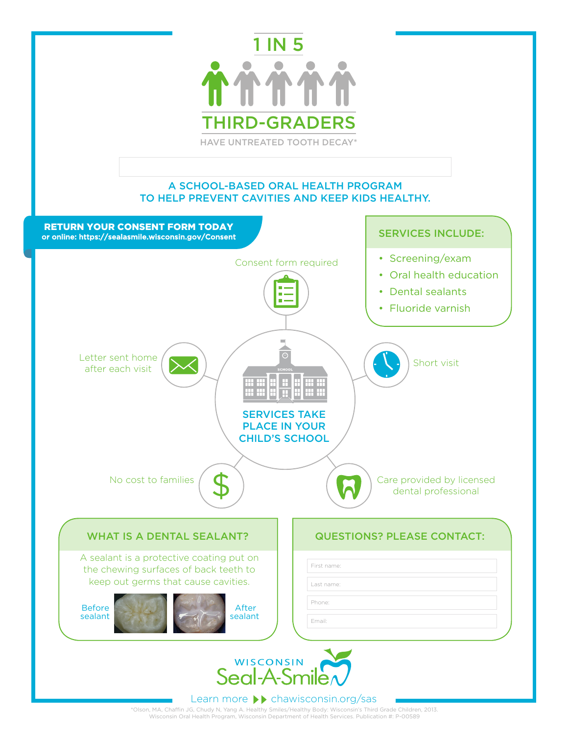

## A SCHOOL-BASED ORAL HEALTH PROGRAM TO HELP PREVENT CAVITIES AND KEEP KIDS HEALTHY.



\*Olson, MA, Chaffin JG, Chudy N, Yang A. Healthy Smiles/Healthy Body: Wisconsin's Third Grade Children, 2013. Wisconsin Oral Health Program, Wisconsin Department of Health Services. Publication #: P-00589